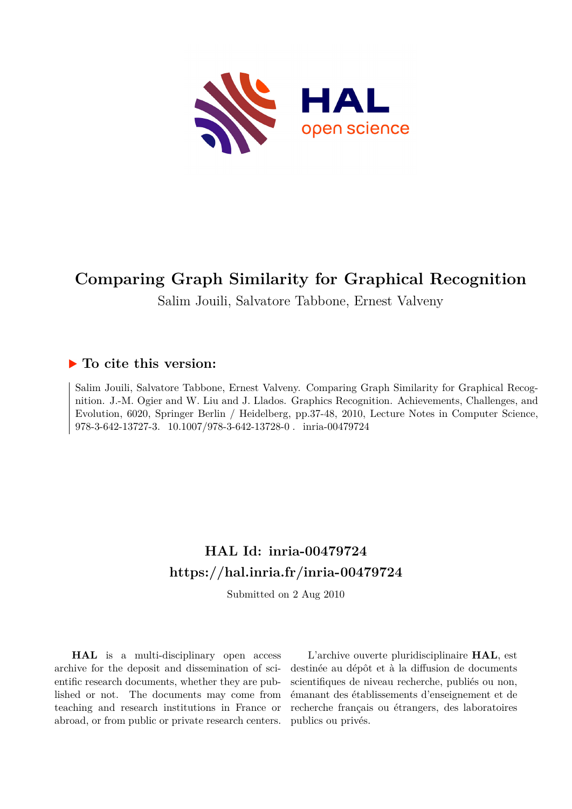

# **Comparing Graph Similarity for Graphical Recognition**

Salim Jouili, Salvatore Tabbone, Ernest Valveny

# **To cite this version:**

Salim Jouili, Salvatore Tabbone, Ernest Valveny. Comparing Graph Similarity for Graphical Recognition. J.-M. Ogier and W. Liu and J. Llados. Graphics Recognition. Achievements, Challenges, and Evolution, 6020, Springer Berlin / Heidelberg, pp.37-48, 2010, Lecture Notes in Computer Science, 978-3-642-13727-3. 10.1007/978-3-642-13728-0. inria-00479724

# **HAL Id: inria-00479724 <https://hal.inria.fr/inria-00479724>**

Submitted on 2 Aug 2010

**HAL** is a multi-disciplinary open access archive for the deposit and dissemination of scientific research documents, whether they are published or not. The documents may come from teaching and research institutions in France or abroad, or from public or private research centers.

L'archive ouverte pluridisciplinaire **HAL**, est destinée au dépôt et à la diffusion de documents scientifiques de niveau recherche, publiés ou non, émanant des établissements d'enseignement et de recherche français ou étrangers, des laboratoires publics ou privés.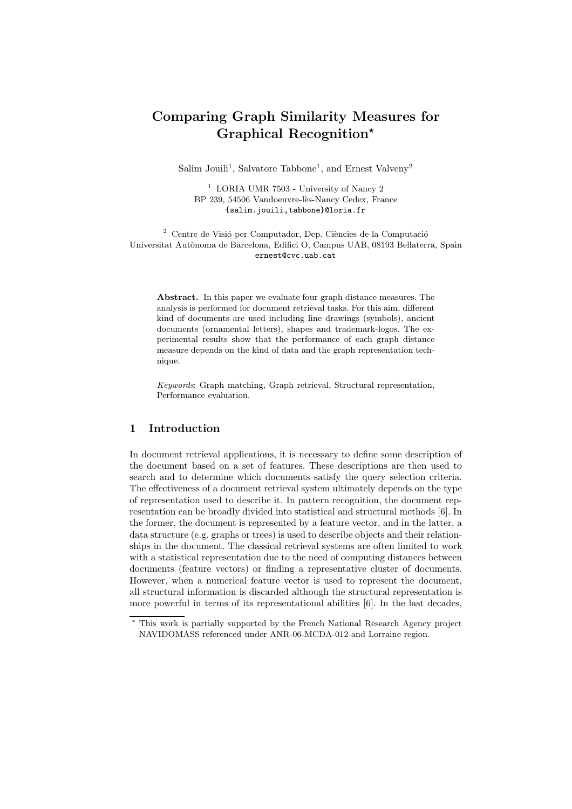# Comparing Graph Similarity Measures for Graphical Recognition\*

Salim Jouili<sup>1</sup>, Salvatore Tabbone<sup>1</sup>, and Ernest Valveny<sup>2</sup>

<sup>1</sup> LORIA UMR 7503 - University of Nancy 2 BP 239, 54506 Vandoeuvre-lès-Nancy Cedex, France {salim.jouili,tabbone}@loria.fr

 $^2\,$  Centre de Visió per Computador, Dep. Ciències de la Computació Universitat Autònoma de Barcelona, Edifici O, Campus UAB, 08193 Bellaterra, Spain ernest@cvc.uab.cat

Abstract. In this paper we evaluate four graph distance measures. The analysis is performed for document retrieval tasks. For this aim, different kind of documents are used including line drawings (symbols), ancient documents (ornamental letters), shapes and trademark-logos. The experimental results show that the performance of each graph distance measure depends on the kind of data and the graph representation technique.

*Keywords*: Graph matching, Graph retrieval, Structural representation, Performance evaluation.

# 1 Introduction

In document retrieval applications, it is necessary to define some description of the document based on a set of features. These descriptions are then used to search and to determine which documents satisfy the query selection criteria. The effectiveness of a document retrieval system ultimately depends on the type of representation used to describe it. In pattern recognition, the document representation can be broadly divided into statistical and structural methods [6]. In the former, the document is represented by a feature vector, and in the latter, a data structure (e.g. graphs or trees) is used to describe objects and their relationships in the document. The classical retrieval systems are often limited to work with a statistical representation due to the need of computing distances between documents (feature vectors) or finding a representative cluster of documents. However, when a numerical feature vector is used to represent the document, all structural information is discarded although the structural representation is more powerful in terms of its representational abilities [6]. In the last decades,

<sup>⋆</sup> This work is partially supported by the French National Research Agency project NAVIDOMASS referenced under ANR-06-MCDA-012 and Lorraine region.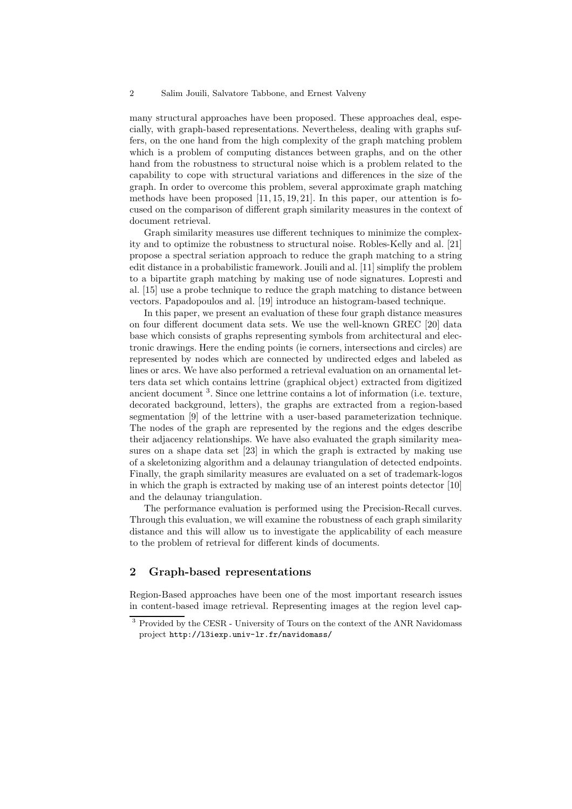many structural approaches have been proposed. These approaches deal, especially, with graph-based representations. Nevertheless, dealing with graphs suffers, on the one hand from the high complexity of the graph matching problem which is a problem of computing distances between graphs, and on the other hand from the robustness to structural noise which is a problem related to the capability to cope with structural variations and differences in the size of the graph. In order to overcome this problem, several approximate graph matching methods have been proposed  $[11, 15, 19, 21]$ . In this paper, our attention is focused on the comparison of different graph similarity measures in the context of document retrieval.

Graph similarity measures use different techniques to minimize the complexity and to optimize the robustness to structural noise. Robles-Kelly and al. [21] propose a spectral seriation approach to reduce the graph matching to a string edit distance in a probabilistic framework. Jouili and al. [11] simplify the problem to a bipartite graph matching by making use of node signatures. Lopresti and al. [15] use a probe technique to reduce the graph matching to distance between vectors. Papadopoulos and al. [19] introduce an histogram-based technique.

In this paper, we present an evaluation of these four graph distance measures on four different document data sets. We use the well-known GREC [20] data base which consists of graphs representing symbols from architectural and electronic drawings. Here the ending points (ie corners, intersections and circles) are represented by nodes which are connected by undirected edges and labeled as lines or arcs. We have also performed a retrieval evaluation on an ornamental letters data set which contains lettrine (graphical object) extracted from digitized ancient document <sup>3</sup> . Since one lettrine contains a lot of information (i.e. texture, decorated background, letters), the graphs are extracted from a region-based segmentation [9] of the lettrine with a user-based parameterization technique. The nodes of the graph are represented by the regions and the edges describe their adjacency relationships. We have also evaluated the graph similarity measures on a shape data set [23] in which the graph is extracted by making use of a skeletonizing algorithm and a delaunay triangulation of detected endpoints. Finally, the graph similarity measures are evaluated on a set of trademark-logos in which the graph is extracted by making use of an interest points detector [10] and the delaunay triangulation.

The performance evaluation is performed using the Precision-Recall curves. Through this evaluation, we will examine the robustness of each graph similarity distance and this will allow us to investigate the applicability of each measure to the problem of retrieval for different kinds of documents.

## 2 Graph-based representations

Region-Based approaches have been one of the most important research issues in content-based image retrieval. Representing images at the region level cap-

<sup>&</sup>lt;sup>3</sup> Provided by the CESR - University of Tours on the context of the ANR Navidomass project http://l3iexp.univ-lr.fr/navidomass/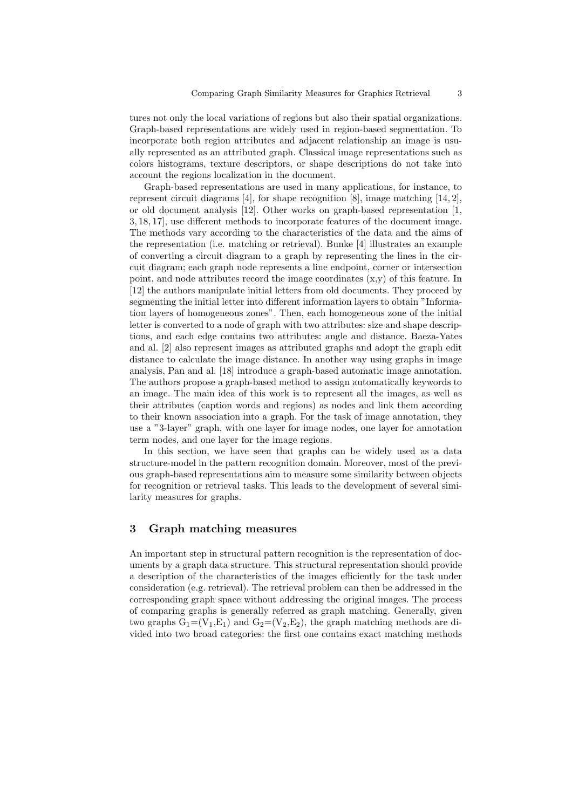tures not only the local variations of regions but also their spatial organizations. Graph-based representations are widely used in region-based segmentation. To incorporate both region attributes and adjacent relationship an image is usually represented as an attributed graph. Classical image representations such as colors histograms, texture descriptors, or shape descriptions do not take into account the regions localization in the document.

Graph-based representations are used in many applications, for instance, to represent circuit diagrams [4], for shape recognition [8], image matching  $[14, 2]$ , or old document analysis [12]. Other works on graph-based representation [1, 3, 18, 17], use different methods to incorporate features of the document image. The methods vary according to the characteristics of the data and the aims of the representation (i.e. matching or retrieval). Bunke [4] illustrates an example of converting a circuit diagram to a graph by representing the lines in the circuit diagram; each graph node represents a line endpoint, corner or intersection point, and node attributes record the image coordinates (x,y) of this feature. In [12] the authors manipulate initial letters from old documents. They proceed by segmenting the initial letter into different information layers to obtain "Information layers of homogeneous zones". Then, each homogeneous zone of the initial letter is converted to a node of graph with two attributes: size and shape descriptions, and each edge contains two attributes: angle and distance. Baeza-Yates and al. [2] also represent images as attributed graphs and adopt the graph edit distance to calculate the image distance. In another way using graphs in image analysis, Pan and al. [18] introduce a graph-based automatic image annotation. The authors propose a graph-based method to assign automatically keywords to an image. The main idea of this work is to represent all the images, as well as their attributes (caption words and regions) as nodes and link them according to their known association into a graph. For the task of image annotation, they use a "3-layer" graph, with one layer for image nodes, one layer for annotation term nodes, and one layer for the image regions.

In this section, we have seen that graphs can be widely used as a data structure-model in the pattern recognition domain. Moreover, most of the previous graph-based representations aim to measure some similarity between objects for recognition or retrieval tasks. This leads to the development of several similarity measures for graphs.

### 3 Graph matching measures

An important step in structural pattern recognition is the representation of documents by a graph data structure. This structural representation should provide a description of the characteristics of the images efficiently for the task under consideration (e.g. retrieval). The retrieval problem can then be addressed in the corresponding graph space without addressing the original images. The process of comparing graphs is generally referred as graph matching. Generally, given two graphs  $G_1=(V_1,E_1)$  and  $G_2=(V_2,E_2)$ , the graph matching methods are divided into two broad categories: the first one contains exact matching methods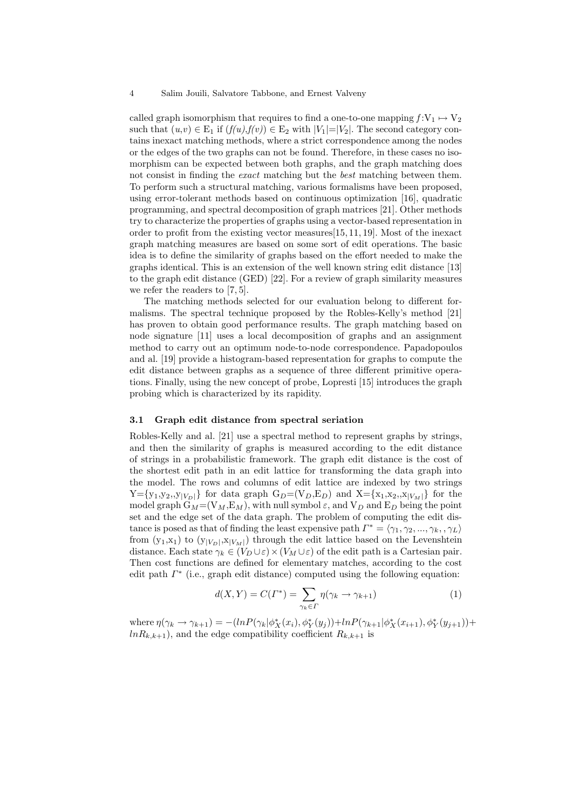called graph isomorphism that requires to find a one-to-one mapping  $f:V_1 \mapsto V_2$ such that  $(u, v) \in E_1$  if  $(f(u), f(v)) \in E_2$  with  $|V_1| = |V_2|$ . The second category contains inexact matching methods, where a strict correspondence among the nodes or the edges of the two graphs can not be found. Therefore, in these cases no isomorphism can be expected between both graphs, and the graph matching does not consist in finding the *exact* matching but the *best* matching between them. To perform such a structural matching, various formalisms have been proposed, using error-tolerant methods based on continuous optimization [16], quadratic programming, and spectral decomposition of graph matrices [21]. Other methods try to characterize the properties of graphs using a vector-based representation in order to profit from the existing vector measures[15, 11, 19]. Most of the inexact graph matching measures are based on some sort of edit operations. The basic idea is to define the similarity of graphs based on the effort needed to make the graphs identical. This is an extension of the well known string edit distance [13] to the graph edit distance (GED) [22]. For a review of graph similarity measures we refer the readers to [7, 5].

The matching methods selected for our evaluation belong to different formalisms. The spectral technique proposed by the Robles-Kelly's method [21] has proven to obtain good performance results. The graph matching based on node signature [11] uses a local decomposition of graphs and an assignment method to carry out an optimum node-to-node correspondence. Papadopoulos and al. [19] provide a histogram-based representation for graphs to compute the edit distance between graphs as a sequence of three different primitive operations. Finally, using the new concept of probe, Lopresti [15] introduces the graph probing which is characterized by its rapidity.

#### 3.1 Graph edit distance from spectral seriation

Robles-Kelly and al. [21] use a spectral method to represent graphs by strings, and then the similarity of graphs is measured according to the edit distance of strings in a probabilistic framework. The graph edit distance is the cost of the shortest edit path in an edit lattice for transforming the data graph into the model. The rows and columns of edit lattice are indexed by two strings  $Y=\{y_1,y_2,y_{|V_D|}\}\$ for data graph  $G_D=(V_D,E_D)$  and  $X=\{x_1,x_2,x_{|V_M|}\}\$ for the model graph  $G_M = (V_M, E_M)$ , with null symbol  $\varepsilon$ , and  $V_D$  and  $E_D$  being the point set and the edge set of the data graph. The problem of computing the edit distance is posed as that of finding the least expensive path  $\Gamma^* = \langle \gamma_1, \gamma_2, ..., \gamma_k, , \gamma_L \rangle$ from  $(y_1,x_1)$  to  $(y_{|V_D|},x_{|V_M|})$  through the edit lattice based on the Levenshtein distance. Each state  $\gamma_k \in (V_D \cup \varepsilon) \times (V_M \cup \varepsilon)$  of the edit path is a Cartesian pair. Then cost functions are defined for elementary matches, according to the cost edit path  $\Gamma^*$  (i.e., graph edit distance) computed using the following equation:

$$
d(X,Y) = C(\Gamma^*) = \sum_{\gamma_k \in \Gamma} \eta(\gamma_k \to \gamma_{k+1})
$$
\n(1)

where  $\eta(\gamma_k \to \gamma_{k+1}) = -(ln P(\gamma_k | \phi_X^*(x_i), \phi_Y^*(y_j)) + ln P(\gamma_{k+1} | \phi_X^*(x_{i+1}), \phi_Y^*(y_{j+1})) +$  $lnR_{k,k+1}$ , and the edge compatibility coefficient  $R_{k,k+1}$  is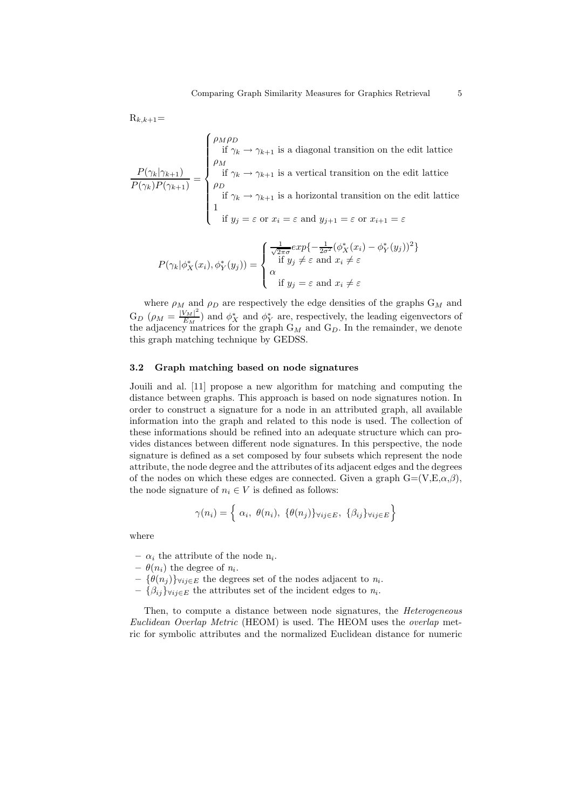$$
R_{k,k+1} = \frac{P(\gamma_k|\gamma_{k+1})}{\prod_{i=1}^{k} P(\gamma_k)P(\gamma_{k+1})} = \begin{cases} \rho_M \rho_D & \text{if } \gamma_k \to \gamma_{k+1} \text{ is a diagonal transition on the edit lattice} \\ \rho_M & \text{if } \gamma_k \to \gamma_{k+1} \text{ is a vertical transition on the edit lattice} \\ \rho_D & \text{if } \gamma_k \to \gamma_{k+1} \text{ is a horizontal transition on the edit lattice} \\ 1 & \text{if } y_j = \varepsilon \text{ or } x_i = \varepsilon \text{ and } y_{j+1} = \varepsilon \text{ or } x_{i+1} = \varepsilon \\ & \text{if } \frac{1}{\sqrt{2\pi\sigma}} \exp\left\{-\frac{1}{2\sigma^2}(\phi_X^*(x_i) - \phi_Y^*(y_j))^2\right\} \\ & \text{if } y_{j+1} = \varepsilon \text{ or } x_{j+1} = \varepsilon \end{cases}
$$

$$
P(\gamma_k|\phi_X^*(x_i), \phi_Y^*(y_j)) = \begin{cases} \n\sqrt{2\pi\sigma} & \text{if } x_j \neq \varepsilon \text{ and } x_i \neq \varepsilon\\ \n\alpha & \text{if } y_j = \varepsilon \text{ and } x_i \neq \varepsilon\n\end{cases}
$$

where  $\rho_M$  and  $\rho_D$  are respectively the edge densities of the graphs  $G_M$  and  $G_D$   $(\rho_M = \frac{|V_M|^2}{E_M})$  $\frac{V_M}{E_M}$ ) and  $\phi_X^*$  and  $\phi_Y^*$  are, respectively, the leading eigenvectors of the adjacency matrices for the graph  $G_M$  and  $G_D$ . In the remainder, we denote this graph matching technique by GEDSS.

#### 3.2 Graph matching based on node signatures

Jouili and al. [11] propose a new algorithm for matching and computing the distance between graphs. This approach is based on node signatures notion. In order to construct a signature for a node in an attributed graph, all available information into the graph and related to this node is used. The collection of these informations should be refined into an adequate structure which can provides distances between different node signatures. In this perspective, the node signature is defined as a set composed by four subsets which represent the node attribute, the node degree and the attributes of its adjacent edges and the degrees of the nodes on which these edges are connected. Given a graph  $G=(V,E,\alpha,\beta)$ , the node signature of  $n_i \in V$  is defined as follows:

$$
\gamma(n_i) = \left\{ \alpha_i, \ \theta(n_i), \ \{ \theta(n_j) \}_{\forall ij \in E}, \ \{ \beta_{ij} \}_{\forall ij \in E} \right\}
$$

where

- $\alpha_i$  the attribute of the node  $n_i$ .
- $\theta(n_i)$  the degree of  $n_i$ .
- $\{\theta(n_j)\}_{\forall ij \in E}$  the degrees set of the nodes adjacent to  $n_i$ .
- $\{\beta_{ij}\}_{\forall ij \in E}$  the attributes set of the incident edges to  $n_i$ .

Then, to compute a distance between node signatures, the Heterogeneous Euclidean Overlap Metric (HEOM) is used. The HEOM uses the overlap metric for symbolic attributes and the normalized Euclidean distance for numeric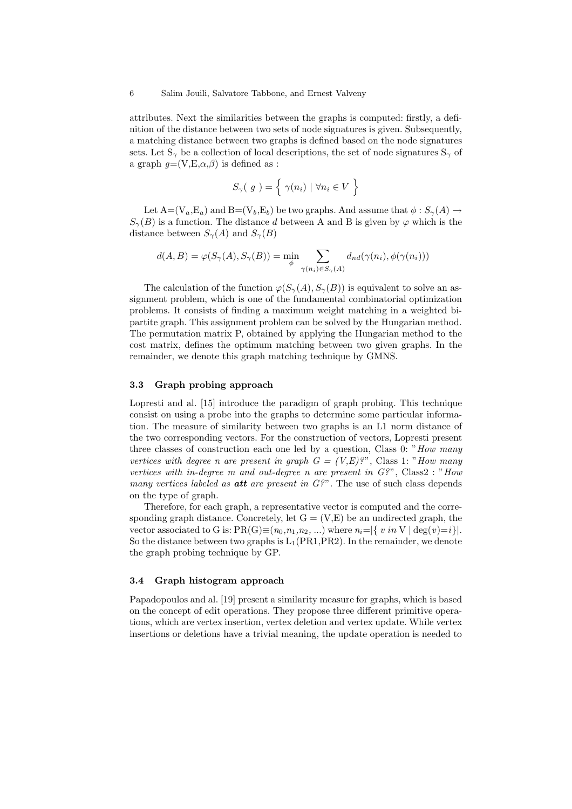attributes. Next the similarities between the graphs is computed: firstly, a definition of the distance between two sets of node signatures is given. Subsequently, a matching distance between two graphs is defined based on the node signatures sets. Let  $S_{\gamma}$  be a collection of local descriptions, the set of node signatures  $S_{\gamma}$  of a graph  $q=(V,E,\alpha,\beta)$  is defined as :

$$
S_{\gamma}(\ g\ )=\left\{\ \gamma(n_{i})\ \vert\ \forall n_{i}\in V\ \right\}
$$

Let  $A=(V_a,E_a)$  and  $B=(V_b,E_b)$  be two graphs. And assume that  $\phi: S_{\gamma}(A) \rightarrow$  $S_{\gamma}(B)$  is a function. The distance d between A and B is given by  $\varphi$  which is the distance between  $S_{\gamma}(A)$  and  $S_{\gamma}(B)$ 

$$
d(A, B) = \varphi(S_{\gamma}(A), S_{\gamma}(B)) = \min_{\phi} \sum_{\gamma(n_i) \in S_{\gamma}(A)} d_{nd}(\gamma(n_i), \phi(\gamma(n_i)))
$$

The calculation of the function  $\varphi(S_{\gamma}(A), S_{\gamma}(B))$  is equivalent to solve an assignment problem, which is one of the fundamental combinatorial optimization problems. It consists of finding a maximum weight matching in a weighted bipartite graph. This assignment problem can be solved by the Hungarian method. The permutation matrix P, obtained by applying the Hungarian method to the cost matrix, defines the optimum matching between two given graphs. In the remainder, we denote this graph matching technique by GMNS.

#### 3.3 Graph probing approach

Lopresti and al. [15] introduce the paradigm of graph probing. This technique consist on using a probe into the graphs to determine some particular information. The measure of similarity between two graphs is an L1 norm distance of the two corresponding vectors. For the construction of vectors, Lopresti present three classes of construction each one led by a question, Class  $0: "How many"$ vertices with degree n are present in graph  $G = (V, E)$ ?", Class 1: "How many vertices with in-degree m and out-degree n are present in  $G^{2n}$ , Class2 : "How many vertices labeled as **att** are present in  $G$ ?". The use of such class depends on the type of graph.

Therefore, for each graph, a representative vector is computed and the corresponding graph distance. Concretely, let  $G = (V, E)$  be an undirected graph, the vector associated to G is:  $PR(G) \equiv (n_0, n_1, n_2, ...)$  where  $n_i = |\{ v \in V | \deg(v) = i \}|$ . So the distance between two graphs is  $L_1(PR1, PR2)$ . In the remainder, we denote the graph probing technique by GP.

#### 3.4 Graph histogram approach

Papadopoulos and al. [19] present a similarity measure for graphs, which is based on the concept of edit operations. They propose three different primitive operations, which are vertex insertion, vertex deletion and vertex update. While vertex insertions or deletions have a trivial meaning, the update operation is needed to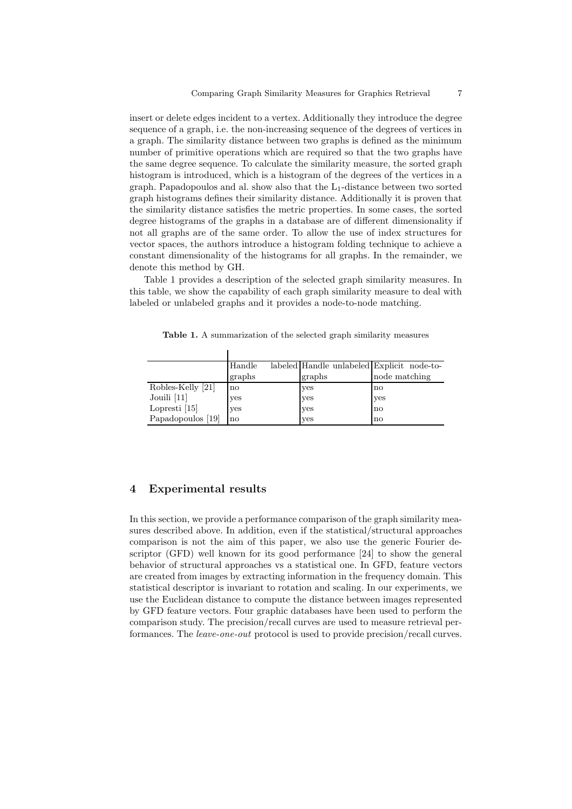insert or delete edges incident to a vertex. Additionally they introduce the degree sequence of a graph, i.e. the non-increasing sequence of the degrees of vertices in a graph. The similarity distance between two graphs is defined as the minimum number of primitive operations which are required so that the two graphs have the same degree sequence. To calculate the similarity measure, the sorted graph histogram is introduced, which is a histogram of the degrees of the vertices in a graph. Papadopoulos and al. show also that the  $L_1$ -distance between two sorted graph histograms defines their similarity distance. Additionally it is proven that the similarity distance satisfies the metric properties. In some cases, the sorted degree histograms of the graphs in a database are of different dimensionality if not all graphs are of the same order. To allow the use of index structures for vector spaces, the authors introduce a histogram folding technique to achieve a constant dimensionality of the histograms for all graphs. In the remainder, we denote this method by GH.

Table 1 provides a description of the selected graph similarity measures. In this table, we show the capability of each graph similarity measure to deal with labeled or unlabeled graphs and it provides a node-to-node matching.

Table 1. A summarization of the selected graph similarity measures

|                   | Handle       | labeled Handle unlabeled Explicit node-to- |               |
|-------------------|--------------|--------------------------------------------|---------------|
|                   | graphs       | graphs                                     | node matching |
| Robles-Kelly [21] | no           | yes                                        | no            |
| Jouili $[11]$     | yes          | yes                                        | yes           |
| Lopresti [15]     | yes          | yes                                        | $\mathbf{n}$  |
| Papadopoulos [19] | $\mathbf{n}$ | <b>ves</b>                                 | $\mathbf{n}$  |

# 4 Experimental results

In this section, we provide a performance comparison of the graph similarity measures described above. In addition, even if the statistical/structural approaches comparison is not the aim of this paper, we also use the generic Fourier descriptor (GFD) well known for its good performance [24] to show the general behavior of structural approaches vs a statistical one. In GFD, feature vectors are created from images by extracting information in the frequency domain. This statistical descriptor is invariant to rotation and scaling. In our experiments, we use the Euclidean distance to compute the distance between images represented by GFD feature vectors. Four graphic databases have been used to perform the comparison study. The precision/recall curves are used to measure retrieval performances. The leave-one-out protocol is used to provide precision/recall curves.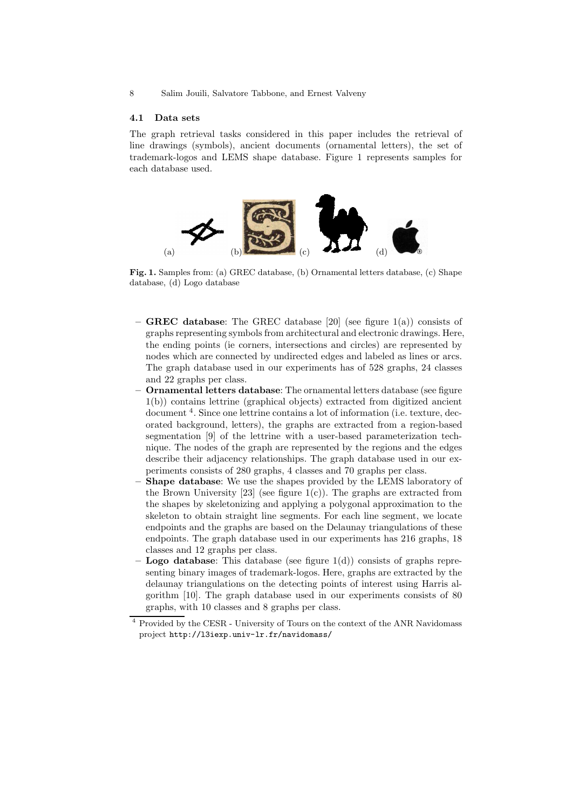8 Salim Jouili, Salvatore Tabbone, and Ernest Valveny

#### 4.1 Data sets

The graph retrieval tasks considered in this paper includes the retrieval of line drawings (symbols), ancient documents (ornamental letters), the set of trademark-logos and LEMS shape database. Figure 1 represents samples for each database used.



Fig. 1. Samples from: (a) GREC database, (b) Ornamental letters database, (c) Shape database, (d) Logo database

- $-$  **GREC** database: The GREC database [20] (see figure 1(a)) consists of graphs representing symbols from architectural and electronic drawings. Here, the ending points (ie corners, intersections and circles) are represented by nodes which are connected by undirected edges and labeled as lines or arcs. The graph database used in our experiments has of 528 graphs, 24 classes and 22 graphs per class.
- Ornamental letters database: The ornamental letters database (see figure 1(b)) contains lettrine (graphical objects) extracted from digitized ancient document <sup>4</sup>. Since one lettrine contains a lot of information (i.e. texture, decorated background, letters), the graphs are extracted from a region-based segmentation [9] of the lettrine with a user-based parameterization technique. The nodes of the graph are represented by the regions and the edges describe their adjacency relationships. The graph database used in our experiments consists of 280 graphs, 4 classes and 70 graphs per class.
- Shape database: We use the shapes provided by the LEMS laboratory of the Brown University [23] (see figure  $1(c)$ ). The graphs are extracted from the shapes by skeletonizing and applying a polygonal approximation to the skeleton to obtain straight line segments. For each line segment, we locate endpoints and the graphs are based on the Delaunay triangulations of these endpoints. The graph database used in our experiments has 216 graphs, 18 classes and 12 graphs per class.
- **Logo database:** This database (see figure  $1(d)$ ) consists of graphs representing binary images of trademark-logos. Here, graphs are extracted by the delaunay triangulations on the detecting points of interest using Harris algorithm [10]. The graph database used in our experiments consists of 80 graphs, with 10 classes and 8 graphs per class.

<sup>4</sup> Provided by the CESR - University of Tours on the context of the ANR Navidomass project http://l3iexp.univ-lr.fr/navidomass/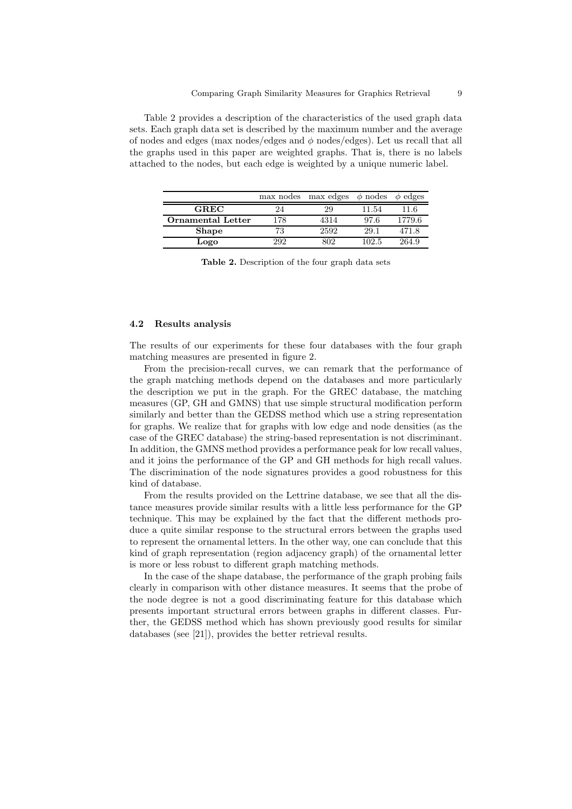Table 2 provides a description of the characteristics of the used graph data sets. Each graph data set is described by the maximum number and the average of nodes and edges (max nodes/edges and  $\phi$  nodes/edges). Let us recall that all the graphs used in this paper are weighted graphs. That is, there is no labels attached to the nodes, but each edge is weighted by a unique numeric label.

|                          |     | max nodes max edges $\phi$ nodes |       | $\phi$ edges |
|--------------------------|-----|----------------------------------|-------|--------------|
| <b>GREC</b>              | 24  | 29                               | 11.54 | 11 6         |
| <b>Ornamental Letter</b> | 178 | 4314                             | 97.6  | 1779.6       |
| Shape                    | 73  | 2592                             | 29.1  | 471.8        |
| Logo                     | 292 | 802                              | 102.5 | 264.9        |

Table 2. Description of the four graph data sets

#### 4.2 Results analysis

The results of our experiments for these four databases with the four graph matching measures are presented in figure 2.

From the precision-recall curves, we can remark that the performance of the graph matching methods depend on the databases and more particularly the description we put in the graph. For the GREC database, the matching measures (GP, GH and GMNS) that use simple structural modification perform similarly and better than the GEDSS method which use a string representation for graphs. We realize that for graphs with low edge and node densities (as the case of the GREC database) the string-based representation is not discriminant. In addition, the GMNS method provides a performance peak for low recall values, and it joins the performance of the GP and GH methods for high recall values. The discrimination of the node signatures provides a good robustness for this kind of database.

From the results provided on the Lettrine database, we see that all the distance measures provide similar results with a little less performance for the GP technique. This may be explained by the fact that the different methods produce a quite similar response to the structural errors between the graphs used to represent the ornamental letters. In the other way, one can conclude that this kind of graph representation (region adjacency graph) of the ornamental letter is more or less robust to different graph matching methods.

In the case of the shape database, the performance of the graph probing fails clearly in comparison with other distance measures. It seems that the probe of the node degree is not a good discriminating feature for this database which presents important structural errors between graphs in different classes. Further, the GEDSS method which has shown previously good results for similar databases (see [21]), provides the better retrieval results.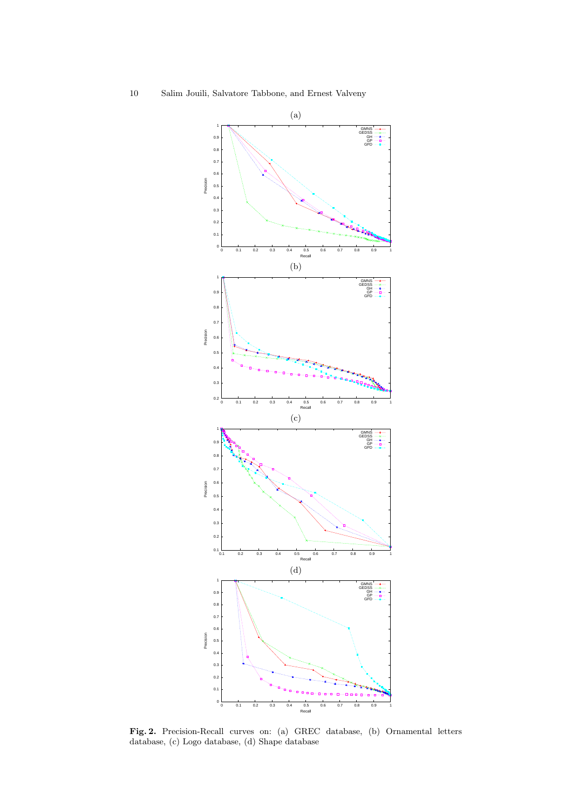

Fig. 2. Precision-Recall curves on: (a) GREC database, (b) Ornamental letters database, (c) Logo database, (d) Shape database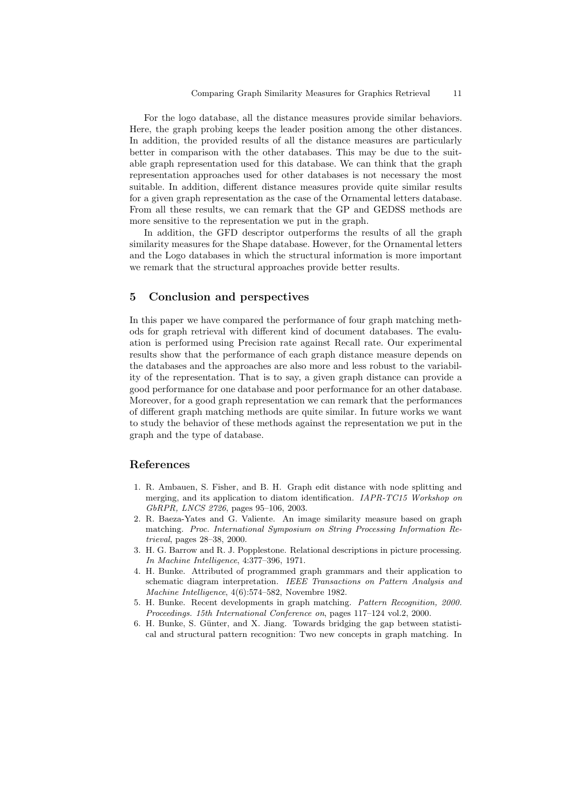For the logo database, all the distance measures provide similar behaviors. Here, the graph probing keeps the leader position among the other distances. In addition, the provided results of all the distance measures are particularly better in comparison with the other databases. This may be due to the suitable graph representation used for this database. We can think that the graph representation approaches used for other databases is not necessary the most suitable. In addition, different distance measures provide quite similar results for a given graph representation as the case of the Ornamental letters database. From all these results, we can remark that the GP and GEDSS methods are more sensitive to the representation we put in the graph.

In addition, the GFD descriptor outperforms the results of all the graph similarity measures for the Shape database. However, for the Ornamental letters and the Logo databases in which the structural information is more important we remark that the structural approaches provide better results.

### 5 Conclusion and perspectives

In this paper we have compared the performance of four graph matching methods for graph retrieval with different kind of document databases. The evaluation is performed using Precision rate against Recall rate. Our experimental results show that the performance of each graph distance measure depends on the databases and the approaches are also more and less robust to the variability of the representation. That is to say, a given graph distance can provide a good performance for one database and poor performance for an other database. Moreover, for a good graph representation we can remark that the performances of different graph matching methods are quite similar. In future works we want to study the behavior of these methods against the representation we put in the graph and the type of database.

## References

- 1. R. Ambauen, S. Fisher, and B. H. Graph edit distance with node splitting and merging, and its application to diatom identification. *IAPR-TC15 Workshop on GbRPR, LNCS 2726*, pages 95–106, 2003.
- 2. R. Baeza-Yates and G. Valiente. An image similarity measure based on graph matching. *Proc. International Symposium on String Processing Information Retrieval*, pages 28–38, 2000.
- 3. H. G. Barrow and R. J. Popplestone. Relational descriptions in picture processing. *In Machine Intelligence*, 4:377–396, 1971.
- 4. H. Bunke. Attributed of programmed graph grammars and their application to schematic diagram interpretation. *IEEE Transactions on Pattern Analysis and Machine Intelligence*, 4(6):574–582, Novembre 1982.
- 5. H. Bunke. Recent developments in graph matching. *Pattern Recognition, 2000. Proceedings. 15th International Conference on*, pages 117–124 vol.2, 2000.
- 6. H. Bunke, S. Günter, and X. Jiang. Towards bridging the gap between statistical and structural pattern recognition: Two new concepts in graph matching. In